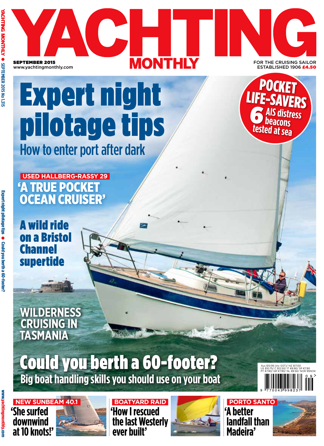H **MONTHLY** SEPTEMBER 2015 FOR THE CRUISING SAILOR ......<br>STABLISHED 1906 £4 www.yachtingmonthly.com

# Expert night pilotage tips How to enter port after dark

**USED HALLBERG-RASSY 29** 'A TRUE POCKET OCEAN CRUISER'

POCKET LIFE-SAVERS **AIS distress beacons**<br>**beacons**<br>tested at sea 6

A wild ride on a Bristol **Channel** supertide

**WILDERNESS CRUISING IN TASMANIA**

# **Big boat handling skills you should use on your boat** Could you berth a 60-footer?

www.yachtingmonthly.com **Ungmonthly.con** 

**'She surfed downwind at 10 knots!'**



**'How I rescued the last Westerly ever built' BOATYARD RAID**



**PORTO SANTO 'A better landfall than Madeira'**



 Aus \$10.95 (inc GST)/ NZ \$17.00 US \$10.75/ C \$12.50/ IT €8.90/ SP €7.90 PT €7.90/ GR €7.90/ NL €8.50/ NOR 95NOK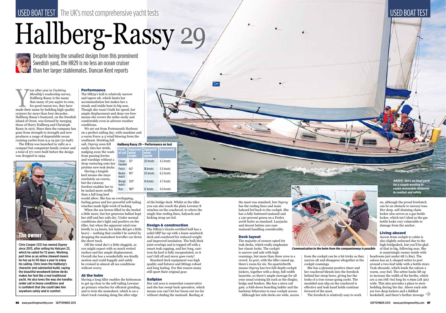*ABOVE: She's an ideal yacht for a couple wanting to cruise reasonable distances in comfort and safety*

Despite being the smallest design from this prominent Swedish yard, the HR29 is no less an ocean cruiser than her larger stablemates. Duncan Kent reports

**Example 18 All Monthly's readership survey, Hallberg-Rassy is the name that many of you aspire to own, for good reason too, they have made their name by building high-quality** *Monthly*'s readership survey, Hallberg-Rassy is the name that many of you aspire to own, for good reason too, they have cruisers for more than four decacdes. Hallberg-Rassy's boatyard, on the Swedish island of Orust, was formed by merging those of Harry Hallberg and Christoph Rassy in 1972. Since then the company has gone from strength to strength and now produces a range of dependable ocean cruising yachts from  $9.4$ -19.5m (31-64ft).

Chris Cooper (53) has owned *Osprey* since 2013, after selling his Halcyon 23, which he sailed for 13 years. Working part time as an airline steward means he has up to 50 days a year to enjoy his sailing. Chris loves the Hallberg's character and substantial build, saying the beautiful woodwork below decks makes her feel like a real traditional yacht. He also loves the way she handles under sail in heavy conditions and is confident that she could take him anywhere safely and in comfort.

would allow. She has an overlapping, furling genoa and her powerful self-tailing winches made light work of tacking.

# USED BOAT TEST The UK's most comprehensive yacht tests National Second Control of the USED BOAT TEST USED BOAT TEST

# Hallberg-Rassy 29





#### Performance

The HR29's hull is relatively narrow and tapers aft, which limits her accommodation but makes her a steady and stable boat in big seas. Though she wasn't built for speed, her ample displacement and deep-vee bow means she covers the miles easily and comfortably even in adverse weather conditions.

We set out from Portsmouth Harbour on a perfect sailing day, with sunshine and a warm Force 4-5 wind blowing from the southeast. Hoisting full

sail, *Osprey* soon fell easily into her stride, nudging away the wash from passing ferries and warships without a drop venturing onto her pristine new teak decks.

Having a longish keel means she stays resolutely on course, but the cutaway forefoot enables her to be tacked more swiftly than a full long keel

When the sea breeze filled in she heeled a little more, but her generous ballast kept her stiff and her rails dry. Under normal conditions she's light and positive on the tiller, but when the apparent wind rose briefly to 24 knots, her helm did get a little heavy – nothing that couldn't be sorted by dropping the mainsheet traveller car down the short track.

Off the wind she's a little sluggish, as you might expect with so much wetted surface and her ample displacement. Overall she has a wonderfully sea-kindly motion and could happily and safely be cruised in almost all sea conditions without worry.

#### At the helm

Having a long tiller enables the helmsman to get up close to the self-tailing Lewmar 40 primary winches for efficient grinding, and to trim the mainsheet, which is on a short track running along the after edge

of the bridge deck. Whilst at the tiller you can also reach the plain Lewmar 8 winches on the coachroof, to where the single-line reefing lines, halyards and kicking strap are led.

#### Design & construction

The HR29's Lloyds-certified hull has a solid GRP lay-up with a foam-sandwich deck and coachroof for reduced weight and improved insulation. The hull/deck joint overlaps and is topped off with a smart teak capping, and her long, castiron fin keel is fully encapsulated, so it can't fall off and never goes rusty!

Standard deck equipment was high quality and fixtures and fittings robust and long lasting. For this reason many still sport their original gear.

#### Sailplan

Her sail area is somewhat conservative and she has swept back spreaders, which means you can't let her boom out too far without chafing the mainsail. Reefing at

the mast was standard, but *Osprey* has the reefing lines and main halyard led back to the cockpit. She has a fully-battened mainsail and a 130-percent genoa on a Furlex 200S furler as standard. Lazyjacks and decent batten cars ease mainsail handling considerably.

#### Deck layout

The majority of owners opted for teak decks, which really emphasise her classic looks. The cockpit is narrow and safe with high coamings, but more than three crew is a crowd. In port, with the tiller raised up, there's room for six. No quarterberth means *Osprey* has two full-depth cockpit lockers, together with a deep, full-width lazarette, so there's ample stowage for all your usual cruising kit such as the dinghy, kedge and fenders. She has a stern rail gate, a fold-down boarding ladder and the backstay bifurcates to ease cockpit access. Although her side decks are wide, access

from the cockpit can be a bit tricky as they narrow aft and disappear altogether at the cockpit coamings.

She has a pleasant positive sheer and her coachroof blends into the foredeck behind her steep bows, giving her the looks of a true ocean-going yacht. The moulded non-slip on the coachroof is effective and teak hand holds continue

96 www.yachtingmonthly.com SEPTEMBER 2015

forward of the mast.

The foredeck is relatively easy to work

on, although the proud forehatch can be an obstacle to unwary toes. Her deep, self-draining chain locker also serves as a gas bottle locker, which isn't ideal as the gas bottle looks very vulnerable to damage from the anchor.

#### Living aboard

Access from cockpit to cabin is also slightly awkward due to the high bridgedeck, but you'll be glad of that in big, following seas. She is surprisingly roomy inside with

headroom just under 6ft (1.8m). The saloon has an L-shaped settee to port around a two-leaf table with a bottle store. Teak abounds, which lends the saloon a warm, cosy feel. The settee backs lift up to increase the width of the berths, which are  $2.0m$  (6ft 7in) long by 0.69m (2ft 3in) wide. This also provides a place to stow bedding during the day. Above each side are two deep lockers and a fiddled bookshelf, and there's further stowage

| <b>Point</b><br>of sail | <b>Apparent</b><br>wind<br>angle | <b>Apparent</b><br>wind<br>speed | <b>Boatspeed</b> |
|-------------------------|----------------------------------|----------------------------------|------------------|
| Close-<br>hauled        | $35^\circ$                       | 20 knots                         | 4.2 knots        |
| Fetch                   | $60^{\circ}$                     | 18 knots                         | 5.5 knots        |
| Beam<br>reach           | 90°                              | 20 knots                         | 6.2 knots        |
| <b>Broad</b><br>reach   | $120^\circ$                      | 14 knots                         | 4.7 knots        |
| Run                     | 180°                             | 12 knots                         | 4.0 knots        |
|                         |                                  |                                  |                  |

The HR29 was launched in 1982 as a compact but competent family cruiser and a total of 571 were built before the design was dropped in 1994.



*Communication to the helm from the companionway is possible*